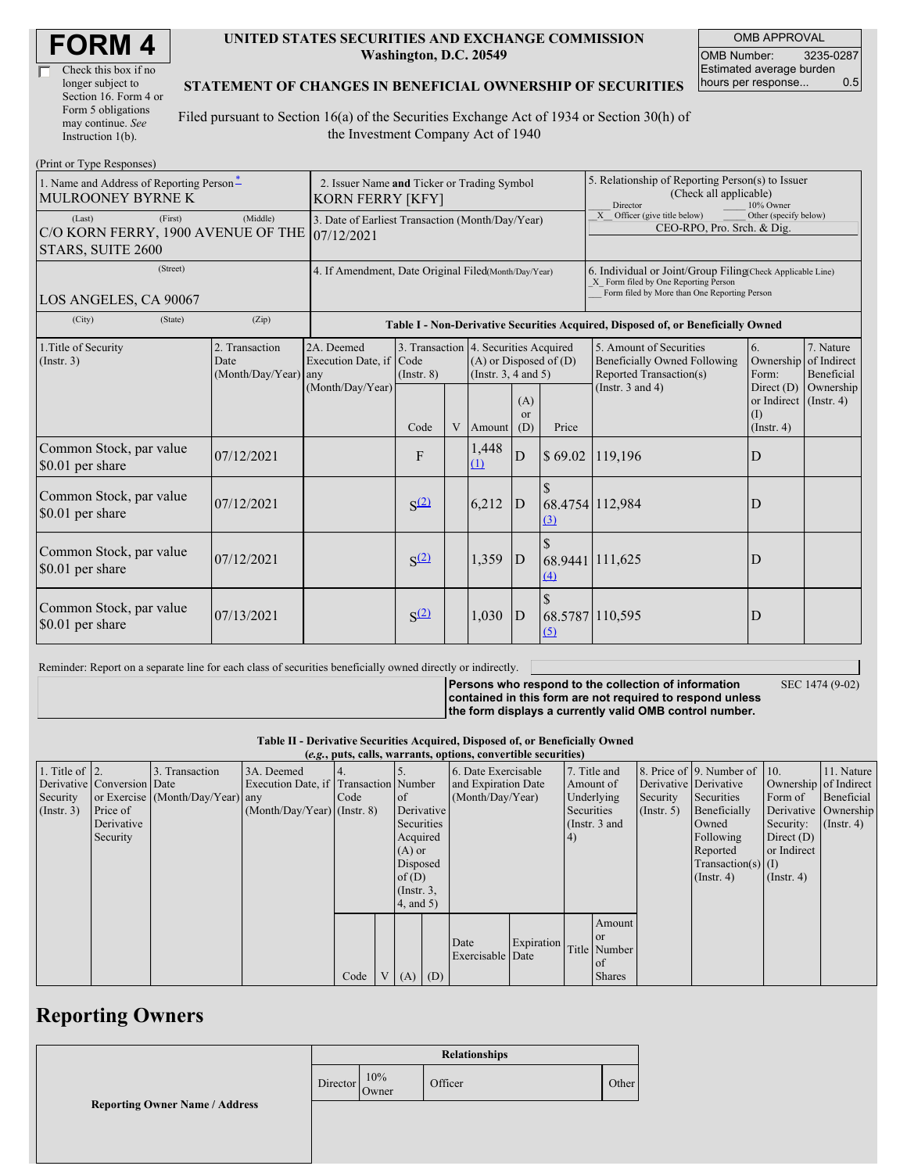| <b>FORM4</b> |  |
|--------------|--|
|--------------|--|

| Check this box if no  |
|-----------------------|
| longer subject to     |
| Section 16. Form 4 or |
| Form 5 obligations    |
| may continue. See     |
| Instruction 1(b).     |

#### **UNITED STATES SECURITIES AND EXCHANGE COMMISSION Washington, D.C. 20549**

OMB APPROVAL OMB Number: 3235-0287 Estimated average burden hours per response... 0.5

### **STATEMENT OF CHANGES IN BENEFICIAL OWNERSHIP OF SECURITIES**

Filed pursuant to Section 16(a) of the Securities Exchange Act of 1934 or Section 30(h) of the Investment Company Act of 1940

| (Print or Type Responses)                                                    |                                                                                  |                                              |                  |  |                                                                                                 |                                      |                                                                                                                                                    |                                                                                           |                                                      |                                        |  |
|------------------------------------------------------------------------------|----------------------------------------------------------------------------------|----------------------------------------------|------------------|--|-------------------------------------------------------------------------------------------------|--------------------------------------|----------------------------------------------------------------------------------------------------------------------------------------------------|-------------------------------------------------------------------------------------------|------------------------------------------------------|----------------------------------------|--|
| 1. Name and Address of Reporting Person-<br>MULROONEY BYRNE K                | 2. Issuer Name and Ticker or Trading Symbol<br><b>KORN FERRY [KFY]</b>           |                                              |                  |  |                                                                                                 |                                      | 5. Relationship of Reporting Person(s) to Issuer<br>(Check all applicable)<br>Director<br>10% Owner                                                |                                                                                           |                                                      |                                        |  |
| (First)<br>(Last)<br>C/O KORN FERRY, 1900 AVENUE OF THE<br>STARS, SUITE 2600 | 3. Date of Earliest Transaction (Month/Day/Year)<br>07/12/2021                   |                                              |                  |  |                                                                                                 |                                      | $\overline{X}$ Officer (give title below)<br>Other (specify below)<br>CEO-RPO, Pro. Srch. & Dig.                                                   |                                                                                           |                                                      |                                        |  |
| (Street)<br>LOS ANGELES, CA 90067                                            | 4. If Amendment, Date Original Filed(Month/Day/Year)                             |                                              |                  |  |                                                                                                 |                                      | 6. Individual or Joint/Group Filing(Check Applicable Line)<br>X Form filed by One Reporting Person<br>Form filed by More than One Reporting Person |                                                                                           |                                                      |                                        |  |
| (City)<br>(State)                                                            | Table I - Non-Derivative Securities Acquired, Disposed of, or Beneficially Owned |                                              |                  |  |                                                                                                 |                                      |                                                                                                                                                    |                                                                                           |                                                      |                                        |  |
| 1. Title of Security<br>(Insert. 3)                                          | 2. Transaction<br>Date<br>(Month/Day/Year)                                       | 2A. Deemed<br>Execution Date, if Code<br>any | $($ Instr. $8)$  |  | 3. Transaction 4. Securities Acquired<br>$(A)$ or Disposed of $(D)$<br>(Instr. $3, 4$ and $5$ ) |                                      |                                                                                                                                                    | 5. Amount of Securities<br><b>Beneficially Owned Following</b><br>Reported Transaction(s) | 6.<br>Ownership<br>Form:                             | 7. Nature<br>of Indirect<br>Beneficial |  |
|                                                                              |                                                                                  | (Month/Day/Year)                             | Code             |  | Amount                                                                                          | (A)<br><sub>or</sub><br>(D)          | Price                                                                                                                                              | (Instr. $3$ and $4$ )                                                                     | Direct $(D)$<br>or Indirect<br>M<br>$($ Instr. 4 $)$ | Ownership<br>$($ Instr. 4 $)$          |  |
| Common Stock, par value<br>\$0.01 per share                                  | 07/12/2021                                                                       |                                              | F                |  | 1,448<br>(1)                                                                                    | D                                    | \$69.02                                                                                                                                            | 119,196                                                                                   | D                                                    |                                        |  |
| Common Stock, par value<br>\$0.01 per share                                  | 07/12/2021                                                                       |                                              | S <sup>(2)</sup> |  | 6,212                                                                                           | <sup>\$</sup><br>$\mathbf{D}$<br>(3) |                                                                                                                                                    | 68.4754 112,984                                                                           | D                                                    |                                        |  |
| Common Stock, par value<br>\$0.01 per share                                  | 07/12/2021                                                                       |                                              | S <sup>(2)</sup> |  | 1,359                                                                                           | D                                    | $\Delta$                                                                                                                                           | 68.9441 111,625                                                                           | D                                                    |                                        |  |
| Common Stock, par value<br>\$0.01 per share                                  | 07/13/2021                                                                       |                                              | S <sup>(2)</sup> |  | 1,030                                                                                           | $\mathbf{D}$                         | (5)                                                                                                                                                | 68.5787 110,595                                                                           | D                                                    |                                        |  |

Reminder: Report on a separate line for each class of securities beneficially owned directly or indirectly.

**Persons who respond to the collection of information**

SEC 1474 (9-02)

**contained in this form are not required to respond unless the form displays a currently valid OMB control number.**

**Table II - Derivative Securities Acquired, Disposed of, or Beneficially Owned**

| (e.g., puts, calls, warrants, options, convertible securities) |                            |                                  |                                       |      |  |                 |  |                                |            |                     |                 |               |                              |                       |                  |                       |  |
|----------------------------------------------------------------|----------------------------|----------------------------------|---------------------------------------|------|--|-----------------|--|--------------------------------|------------|---------------------|-----------------|---------------|------------------------------|-----------------------|------------------|-----------------------|--|
| 1. Title of $\vert$ 2.                                         |                            | 3. Transaction                   | 3A. Deemed                            |      |  |                 |  | 6. Date Exercisable            |            | 7. Title and        |                 |               | 8. Price of 9. Number of 10. |                       | 11. Nature       |                       |  |
|                                                                | Derivative Conversion Date |                                  | Execution Date, if Transaction Number |      |  |                 |  |                                |            | and Expiration Date |                 | Amount of     |                              | Derivative Derivative |                  | Ownership of Indirect |  |
| Security                                                       |                            | or Exercise (Month/Day/Year) any |                                       | Code |  | <b>l</b> of     |  | (Month/Day/Year)<br>Underlying |            |                     | Security        | Securities    | Form of                      | Beneficial            |                  |                       |  |
| (Insert. 3)                                                    | Price of                   |                                  | $(Month/Day/Year)$ (Instr. 8)         |      |  | Derivative      |  |                                |            | Securities          |                 | $($ Instr. 5) | Beneficially                 | Derivative Ownership  |                  |                       |  |
|                                                                | Derivative                 |                                  |                                       |      |  | Securities      |  |                                |            |                     | (Instr. $3$ and |               | Owned                        | Security:             | $($ Instr. 4 $)$ |                       |  |
|                                                                | Security                   |                                  |                                       |      |  | Acquired        |  |                                |            | (4)                 |                 |               | Following                    | Direct $(D)$          |                  |                       |  |
|                                                                |                            |                                  |                                       |      |  | $(A)$ or        |  |                                |            |                     |                 |               | Reported                     | or Indirect           |                  |                       |  |
|                                                                |                            |                                  |                                       |      |  | Disposed        |  |                                |            |                     |                 |               | Transaction(s) $(I)$         |                       |                  |                       |  |
|                                                                |                            |                                  |                                       |      |  | of $(D)$        |  |                                |            |                     |                 |               | $($ Instr. 4)                | $($ Instr. 4 $)$      |                  |                       |  |
|                                                                |                            |                                  |                                       |      |  | $($ Instr. $3,$ |  |                                |            |                     |                 |               |                              |                       |                  |                       |  |
|                                                                |                            |                                  |                                       |      |  | $4$ , and $5$ ) |  |                                |            |                     |                 |               |                              |                       |                  |                       |  |
|                                                                |                            |                                  |                                       |      |  |                 |  |                                |            |                     | Amount          |               |                              |                       |                  |                       |  |
|                                                                |                            |                                  |                                       |      |  |                 |  |                                |            |                     | <b>or</b>       |               |                              |                       |                  |                       |  |
|                                                                |                            |                                  |                                       |      |  |                 |  | Date                           | Expiration |                     | Title Number    |               |                              |                       |                  |                       |  |
|                                                                |                            |                                  |                                       |      |  |                 |  | Exercisable Date               |            |                     | of              |               |                              |                       |                  |                       |  |
|                                                                |                            |                                  |                                       | Code |  | $V(A)$ (D)      |  |                                |            |                     | <b>Shares</b>   |               |                              |                       |                  |                       |  |

## **Reporting Owners**

|                                       | <b>Relationships</b> |              |         |       |  |  |
|---------------------------------------|----------------------|--------------|---------|-------|--|--|
| <b>Reporting Owner Name / Address</b> | Director             | 10%<br>Owner | Officer | Other |  |  |
|                                       |                      |              |         |       |  |  |